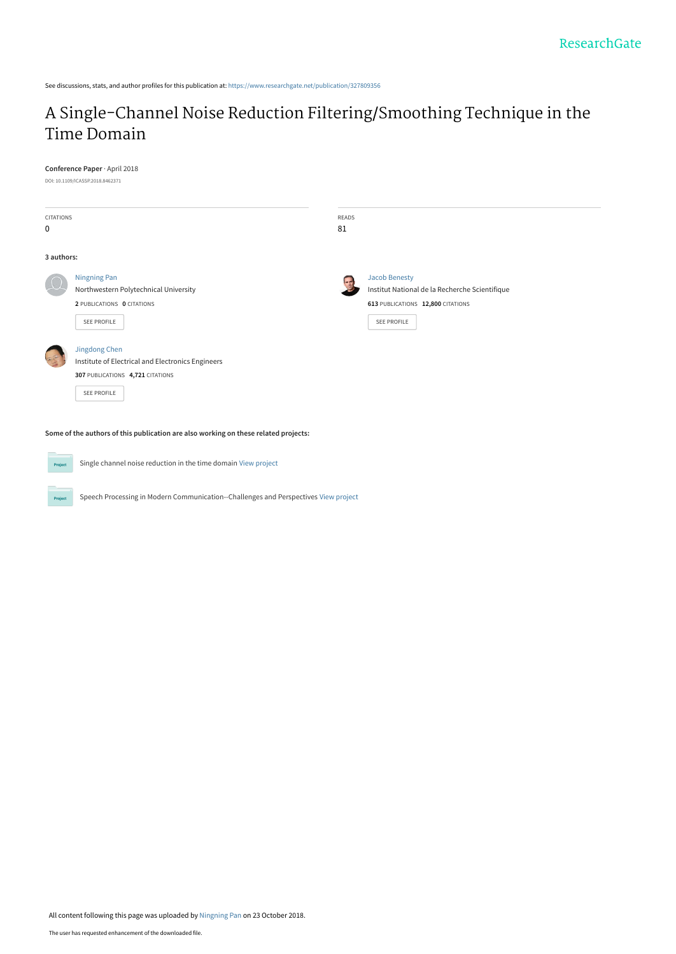See discussions, stats, and author profiles for this publication at: [https://www.researchgate.net/publication/327809356](https://www.researchgate.net/publication/327809356_A_Single-Channel_Noise_Reduction_FilteringSmoothing_Technique_in_the_Time_Domain?enrichId=rgreq-bb835cd512918fffd072990e02b38a4c-XXX&enrichSource=Y292ZXJQYWdlOzMyNzgwOTM1NjtBUzo2ODUwMjQ4MTQ4MzM2NjVAMTU0MDMzNDA1MTQwNQ%3D%3D&el=1_x_2&_esc=publicationCoverPdf)

# [A Single-Channel Noise Reduction Filtering/Smoothing Technique in the](https://www.researchgate.net/publication/327809356_A_Single-Channel_Noise_Reduction_FilteringSmoothing_Technique_in_the_Time_Domain?enrichId=rgreq-bb835cd512918fffd072990e02b38a4c-XXX&enrichSource=Y292ZXJQYWdlOzMyNzgwOTM1NjtBUzo2ODUwMjQ4MTQ4MzM2NjVAMTU0MDMzNDA1MTQwNQ%3D%3D&el=1_x_3&_esc=publicationCoverPdf) Time Domain

**Conference Paper** · April 2018

DOI: 10.1109/ICASSP.2018.8462371

| <b>CITATIONS</b><br>0 |                                                                                                                              | READS<br>81 |                                                                                                                            |
|-----------------------|------------------------------------------------------------------------------------------------------------------------------|-------------|----------------------------------------------------------------------------------------------------------------------------|
| 3 authors:            |                                                                                                                              |             |                                                                                                                            |
|                       | Ningning Pan<br>Northwestern Polytechnical University<br>2 PUBLICATIONS 0 CITATIONS<br>SEE PROFILE                           |             | <b>Jacob Benesty</b><br>Institut National de la Recherche Scientifique<br>613 PUBLICATIONS 12,800 CITATIONS<br>SEE PROFILE |
|                       | Jingdong Chen<br>Institute of Electrical and Electronics Engineers<br>307 PUBLICATIONS 4,721 CITATIONS<br><b>SEE PROFILE</b> |             |                                                                                                                            |

**Some of the authors of this publication are also working on these related projects:**

**Project** 

Project

Single channel noise reduction in the time domain [View project](https://www.researchgate.net/project/Single-channel-noise-reduction-in-the-time-domain?enrichId=rgreq-bb835cd512918fffd072990e02b38a4c-XXX&enrichSource=Y292ZXJQYWdlOzMyNzgwOTM1NjtBUzo2ODUwMjQ4MTQ4MzM2NjVAMTU0MDMzNDA1MTQwNQ%3D%3D&el=1_x_9&_esc=publicationCoverPdf)

Speech Processing in Modern Communication--Challenges and Perspectives [View project](https://www.researchgate.net/project/Speech-Processing-in-Modern-Communication--Challenges-and-Perspectives?enrichId=rgreq-bb835cd512918fffd072990e02b38a4c-XXX&enrichSource=Y292ZXJQYWdlOzMyNzgwOTM1NjtBUzo2ODUwMjQ4MTQ4MzM2NjVAMTU0MDMzNDA1MTQwNQ%3D%3D&el=1_x_9&_esc=publicationCoverPdf)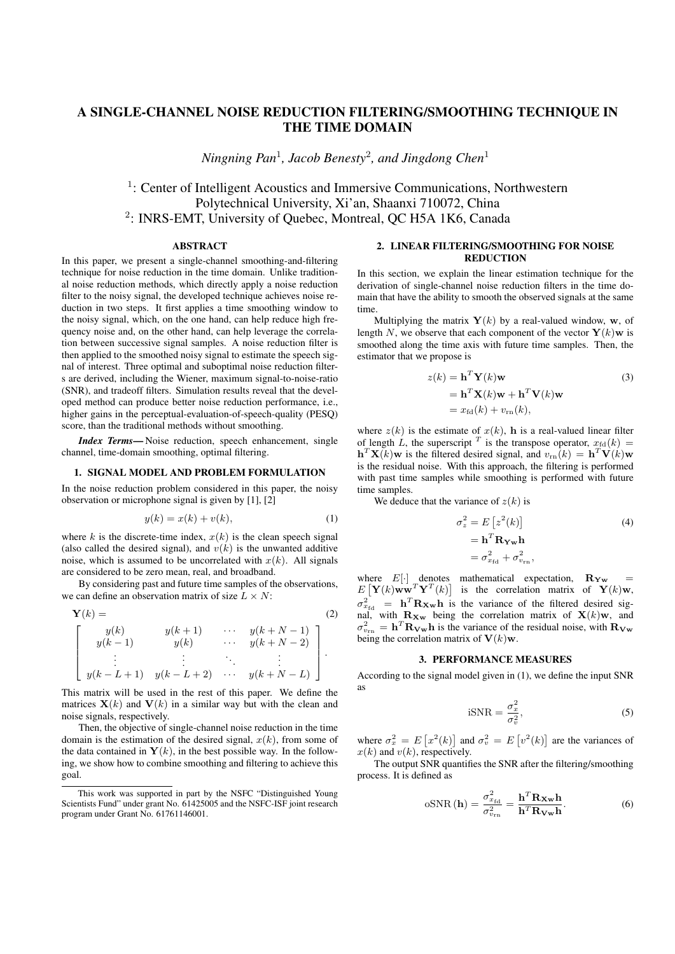# A SINGLE-CHANNEL NOISE REDUCTION FILTERING/SMOOTHING TECHNIQUE IN THE TIME DOMAIN

*Ningning Pan*<sup>1</sup> *, Jacob Benesty*<sup>2</sup> *, and Jingdong Chen*<sup>1</sup>

<sup>1</sup>: Center of Intelligent Acoustics and Immersive Communications, Northwestern Polytechnical University, Xi'an, Shaanxi 710072, China 2 : INRS-EMT, University of Quebec, Montreal, QC H5A 1K6, Canada

#### ABSTRACT

In this paper, we present a single-channel smoothing-and-filtering technique for noise reduction in the time domain. Unlike traditional noise reduction methods, which directly apply a noise reduction filter to the noisy signal, the developed technique achieves noise reduction in two steps. It first applies a time smoothing window to the noisy signal, which, on the one hand, can help reduce high frequency noise and, on the other hand, can help leverage the correlation between successive signal samples. A noise reduction filter is then applied to the smoothed noisy signal to estimate the speech signal of interest. Three optimal and suboptimal noise reduction filters are derived, including the Wiener, maximum signal-to-noise-ratio (SNR), and tradeoff filters. Simulation results reveal that the developed method can produce better noise reduction performance, i.e., higher gains in the perceptual-evaluation-of-speech-quality (PESO) score, than the traditional methods without smoothing.

*Index Terms*— Noise reduction, speech enhancement, single channel, time-domain smoothing, optimal filtering.

#### 1. SIGNAL MODEL AND PROBLEM FORMULATION

In the noise reduction problem considered in this paper, the noisy observation or microphone signal is given by [1], [2]

$$
y(k) = x(k) + v(k),\tag{1}
$$

where *k* is the discrete-time index,  $x(k)$  is the clean speech signal (also called the desired signal), and  $v(k)$  is the unwanted additive noise, which is assumed to be uncorrelated with  $x(k)$ . All signals are considered to be zero mean, real, and broadband.

By considering past and future time samples of the observations, we can define an observation matrix of size  $L \times N$ :

$$
\mathbf{Y}(k) = \n\begin{bmatrix}\ny(k) & y(k+1) & \cdots & y(k+N-1) \\
y(k-1) & y(k) & \cdots & y(k+N-2) \\
\vdots & \vdots & \ddots & \vdots \\
y(k-L+1) & y(k-L+2) & \cdots & y(k+N-L)\n\end{bmatrix}.
$$
\n(2)

This matrix will be used in the rest of this paper. We define the matrices  $X(k)$  and  $V(k)$  in a similar way but with the clean and noise signals, respectively.

Then, the objective of single-channel noise reduction in the time domain is the estimation of the desired signal,  $x(k)$ , from some of the data contained in  $Y(k)$ , in the best possible way. In the following, we show how to combine smoothing and filtering to achieve this goal.

### 2. LINEAR FILTERING/SMOOTHING FOR NOISE **REDUCTION**

In this section, we explain the linear estimation technique for the derivation of single-channel noise reduction filters in the time domain that have the ability to smooth the observed signals at the same time.

Multiplying the matrix  $\mathbf{Y}(k)$  by a real-valued window, **w**, of length *N*, we observe that each component of the vector  $\mathbf{Y}(k)\mathbf{w}$  is smoothed along the time axis with future time samples. Then, the estimator that we propose is

$$
z(k) = \mathbf{h}^T \mathbf{Y}(k) \mathbf{w}
$$
  
=  $\mathbf{h}^T \mathbf{X}(k) \mathbf{w} + \mathbf{h}^T \mathbf{V}(k) \mathbf{w}$   
=  $x_{\text{fd}}(k) + v_{\text{rn}}(k)$ , (3)

where  $z(k)$  is the estimate of  $x(k)$ , **h** is a real-valued linear filter of length *L*, the superscript <sup>*T*</sup> is the transpose operator,  $x_{\text{fd}}(k) =$  $\mathbf{h}^T \mathbf{X}(k)$ **w** is the filtered desired signal, and  $v_{\text{rn}}(k) = \mathbf{h}^T \mathbf{V}(k)$ **w** is the residual noise. With this approach, the filtering is performed with past time samples while smoothing is performed with future time samples.

We deduce that the variance of  $z(k)$  is

$$
\sigma_z^2 = E[z^2(k)]
$$
  
=  $\mathbf{h}^T \mathbf{R}_{\mathbf{Yw}} \mathbf{h}$   
=  $\sigma_{x_{\text{fd}}}^2 + \sigma_{v_{\text{rn}}}^2$ , (4)

where  $E[\cdot]$  denotes mathematical expectation,  $\mathbf{R}_{\mathbf{Y}\mathbf{w}} = E[\mathbf{Y}(k)\mathbf{w}\mathbf{w}^T\mathbf{Y}^T(k)]$  is the correlation matrix of  $\mathbf{Y}(k)\mathbf{w}$ ,  $\sigma_{x_{\text{fd}}}^2$  = **h**<sup>T</sup> **RX<sub>w</sub>h** is the variance of the filtered desired signal, with  $\mathbf{R}_{\mathbf{Xw}}$  being the correlation matrix of  $\mathbf{X}(k)\mathbf{w}$ , and  $\sigma_{v_{\rm rn}}^2 = \mathbf{h}^T \mathbf{R}_{Vw} \mathbf{h}$  is the variance of the residual noise, with  $\mathbf{R}_{Vw}$ being the correlation matrix of  $V(k)$ **w**.

#### 3. PERFORMANCE MEASURES

According to the signal model given in (1), we define the input SNR as

$$
iSNR = \frac{\sigma_x^2}{\sigma_v^2},\tag{5}
$$

where  $\sigma_x^2 = E[x^2(k)]$  and  $\sigma_v^2 = E[v^2(k)]$  are the variances of  $x(k)$  and  $v(k)$ , respectively.

The output SNR quantifies the SNR after the filtering/smoothing process. It is defined as

$$
\text{oSNR}(\mathbf{h}) = \frac{\sigma_{x_{\text{fd}}}^2}{\sigma_{v_{\text{rn}}}^2} = \frac{\mathbf{h}^T \mathbf{R}_{\mathbf{X} \mathbf{w}} \mathbf{h}}{\mathbf{h}^T \mathbf{R}_{\mathbf{V} \mathbf{w}} \mathbf{h}}.
$$
 (6)

This work was supported in part by the NSFC "Distinguished Young Scientists Fund" under grant No. 61425005 and the NSFC-ISF joint research program under Grant No. 61761146001.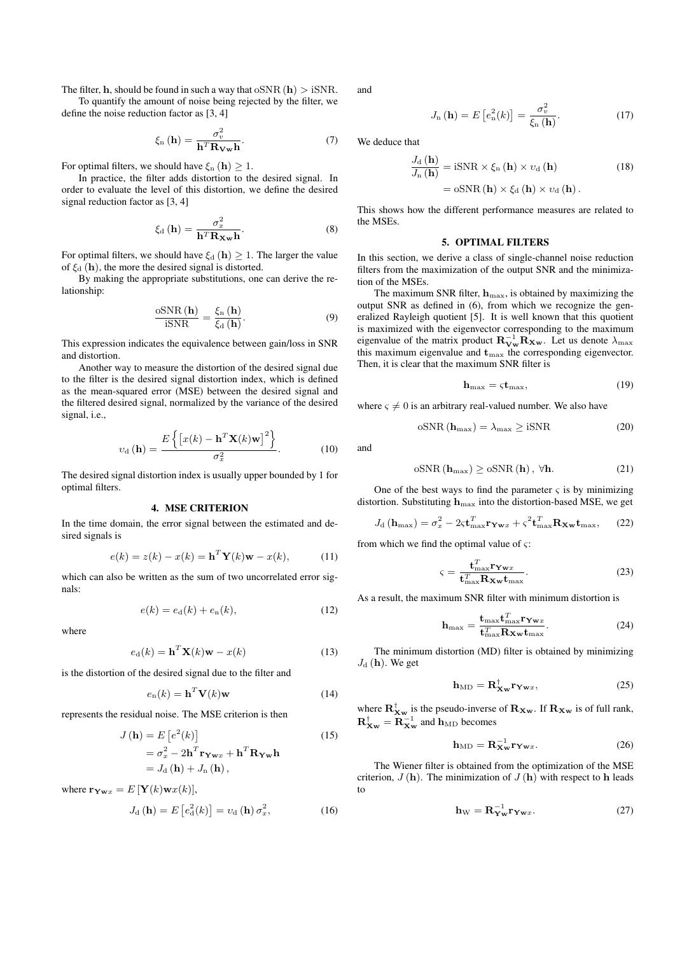The filter, **h**, should be found in such a way that  $oSNR(h) > iSNR$ .

To quantify the amount of noise being rejected by the filter, we define the noise reduction factor as [3, 4]

$$
\xi_{n}(\mathbf{h}) = \frac{\sigma_{v}^{2}}{\mathbf{h}^{T} \mathbf{R_{Vw}} \mathbf{h}}.
$$
 (7)

For optimal filters, we should have  $\xi_n(\mathbf{h}) \geq 1$ .

In practice, the filter adds distortion to the desired signal. In order to evaluate the level of this distortion, we define the desired signal reduction factor as [3, 4]

$$
\xi_{\rm d}(\mathbf{h}) = \frac{\sigma_x^2}{\mathbf{h}^T \mathbf{R_{Xw}} \mathbf{h}}.\tag{8}
$$

For optimal filters, we should have  $\xi_d$  (**h**)  $> 1$ . The larger the value of  $\xi_d$  (**h**), the more the desired signal is distorted.

By making the appropriate substitutions, one can derive the relationship:

$$
\frac{\text{oSNR}\left(\mathbf{h}\right)}{\text{iSNR}} = \frac{\xi_{n}\left(\mathbf{h}\right)}{\xi_{d}\left(\mathbf{h}\right)}.\tag{9}
$$

This expression indicates the equivalence between gain/loss in SNR and distortion.

Another way to measure the distortion of the desired signal due to the filter is the desired signal distortion index, which is defined as the mean-squared error (MSE) between the desired signal and the filtered desired signal, normalized by the variance of the desired signal, i.e.,

$$
v_{\rm d}(\mathbf{h}) = \frac{E\left\{ \left[ x(k) - \mathbf{h}^T \mathbf{X}(k) \mathbf{w} \right]^2 \right\}}{\sigma_x^2}.
$$
 (10)

The desired signal distortion index is usually upper bounded by 1 for optimal filters.

#### 4. MSE CRITERION

In the time domain, the error signal between the estimated and desired signals is

$$
e(k) = z(k) - x(k) = \mathbf{h}^{T} \mathbf{Y}(k) \mathbf{w} - x(k),
$$
 (11)

which can also be written as the sum of two uncorrelated error signals:

$$
e(k) = e_{d}(k) + e_{n}(k),
$$
\n(12)

where

$$
e_{\mathbf{d}}(k) = \mathbf{h}^{T} \mathbf{X}(k) \mathbf{w} - x(k)
$$
 (13)

is the distortion of the desired signal due to the filter and

$$
e_{n}(k) = \mathbf{h}^{T} \mathbf{V}(k) \mathbf{w}
$$
 (14)

represents the residual noise. The MSE criterion is then

$$
J(\mathbf{h}) = E\left[e^{2}(k)\right]
$$
  
=  $\sigma_x^2 - 2\mathbf{h}^T \mathbf{r}_{\mathbf{Y}wx} + \mathbf{h}^T \mathbf{R}_{\mathbf{Y}w} \mathbf{h}$   
=  $J_d(\mathbf{h}) + J_n(\mathbf{h}),$  (15)

where  $\mathbf{r}_{\mathbf{Y}\mathbf{w}x} = E[\mathbf{Y}(k)\mathbf{w}x(k)],$ 

$$
J_{\mathrm{d}}\left(\mathbf{h}\right) = E\left[e_{\mathrm{d}}^{2}(k)\right] = v_{\mathrm{d}}\left(\mathbf{h}\right)\sigma_{x}^{2},\tag{16}
$$

and

$$
J_{\mathbf{n}}\left(\mathbf{h}\right) = E\left[e_{\mathbf{n}}^{2}(k)\right] = \frac{\sigma_{v}^{2}}{\xi_{\mathbf{n}}\left(\mathbf{h}\right)}.\tag{17}
$$

We deduce that

$$
\frac{J_{\rm d}(\mathbf{h})}{J_{\rm n}(\mathbf{h})} = i{\rm SNR} \times \xi_{\rm n}(\mathbf{h}) \times \upsilon_{\rm d}(\mathbf{h})
$$
\n
$$
= \mathrm{oSNR}(\mathbf{h}) \times \xi_{\rm d}(\mathbf{h}) \times \upsilon_{\rm d}(\mathbf{h}).
$$
\n(18)

This shows how the different performance measures are related to the MSEs.

## 5. OPTIMAL FILTERS

In this section, we derive a class of single-channel noise reduction filters from the maximization of the output SNR and the minimization of the MSEs.

The maximum SNR filter, **h**max, is obtained by maximizing the output SNR as defined in (6), from which we recognize the generalized Rayleigh quotient [5]. It is well known that this quotient is maximized with the eigenvector corresponding to the maximum eigenvalue of the matrix product  $\mathbf{R}_{\mathbf{Vw}}^{-1} \mathbf{R}_{\mathbf{Xw}}$ . Let us denote  $\lambda_{\max}$ this maximum eigenvalue and  $t_{\text{max}}$  the corresponding eigenvector. Then, it is clear that the maximum SNR filter is

$$
\mathbf{h}_{\max} = \varsigma \mathbf{t}_{\max},\tag{19}
$$

where  $\varsigma \neq 0$  is an arbitrary real-valued number. We also have

$$
oSNR(h_{\text{max}}) = \lambda_{\text{max}} \ge iSNR
$$
 (20)

and

$$
oSNR\left(\mathbf{h}_{\max}\right) \geq oSNR\left(\mathbf{h}\right), \ \forall \mathbf{h}.\tag{21}
$$

One of the best ways to find the parameter  $\varsigma$  is by minimizing distortion. Substituting **h**max into the distortion-based MSE, we get

$$
J_{\rm d}(\mathbf{h}_{\rm max}) = \sigma_x^2 - 2\varsigma \mathbf{t}_{\rm max}^T \mathbf{r}_{\mathbf{Y} \mathbf{w} x} + \varsigma^2 \mathbf{t}_{\rm max}^T \mathbf{R}_{\mathbf{X} \mathbf{w}} \mathbf{t}_{\rm max},\qquad(22)
$$

from which we find the optimal value of *ς*:

$$
\varsigma = \frac{\mathbf{t}_{\max}^T \mathbf{r}_{\mathbf{W}x}}{\mathbf{t}_{\max}^T \mathbf{R}_{\mathbf{Xw}} \mathbf{t}_{\max}}.
$$
 (23)

As a result, the maximum SNR filter with minimum distortion is

$$
\mathbf{h}_{\max} = \frac{\mathbf{t}_{\max} \mathbf{t}_{\max}^T \mathbf{r}_{\mathbf{Y} \mathbf{w} x}}{\mathbf{t}_{\max}^T \mathbf{R}_{\mathbf{X} \mathbf{w}} \mathbf{t}_{\max}}.
$$
(24)

The minimum distortion (MD) filter is obtained by minimizing  $J_d$  (**h**). We get

$$
\mathbf{h}_{\mathrm{MD}} = \mathbf{R}_{\mathbf{X}\mathbf{w}}^{\dagger} \mathbf{r}_{\mathbf{Y}\mathbf{w}x},\tag{25}
$$

where  $\mathbf{R}_{\mathbf{X}\mathbf{w}}^{\mathsf{T}}$  is the pseudo-inverse of  $\mathbf{R}_{\mathbf{X}\mathbf{w}}$ . If  $\mathbf{R}_{\mathbf{X}\mathbf{w}}$  is of full rank,  $\mathbf{R}_{\mathbf{X}\mathbf{w}}^{\dagger} = \mathbf{R}_{\mathbf{X}\mathbf{w}}^{-1}$  and  $\mathbf{h}_{\text{MD}}$  becomes

$$
\mathbf{h}_{\mathrm{MD}} = \mathbf{R}_{\mathbf{X}\mathbf{w}}^{-1} \mathbf{r}_{\mathbf{Y}\mathbf{w}x}.
$$
 (26)

The Wiener filter is obtained from the optimization of the MSE criterion,  $J(h)$ . The minimization of  $J(h)$  with respect to **h** leads to

$$
\mathbf{h}_{\mathbf{W}} = \mathbf{R}_{\mathbf{Yw}}^{-1} \mathbf{r}_{\mathbf{Yw}x}.
$$
 (27)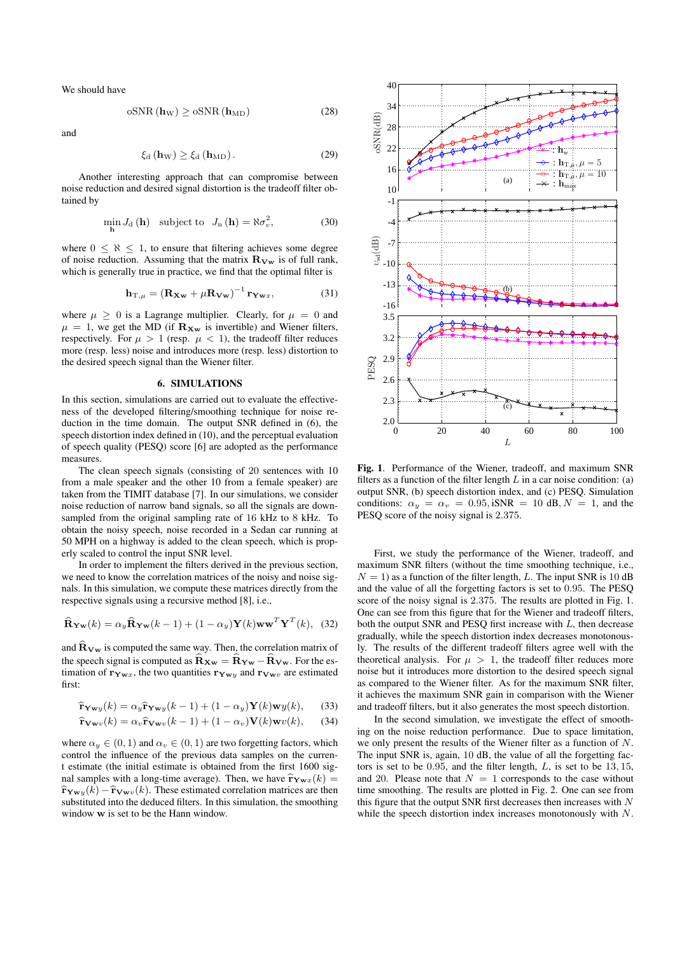We should have

$$
\mathrm{oSNR}\left(\mathbf{h}_{\mathrm{W}}\right) \geq \mathrm{oSNR}\left(\mathbf{h}_{\mathrm{MD}}\right) \tag{28}
$$

and

$$
\xi_{\rm d}(\mathbf{h}_{\rm W}) \ge \xi_{\rm d}(\mathbf{h}_{\rm MD}). \tag{29}
$$

Another interesting approach that can compromise between noise reduction and desired signal distortion is the tradeoff filter obtained by

$$
\min_{\mathbf{h}} J_{\mathbf{d}} \left( \mathbf{h} \right) \quad \text{subject to} \quad J_{\mathbf{n}} \left( \mathbf{h} \right) = \aleph \sigma_v^2,\tag{30}
$$

where  $0 \leq \aleph \leq 1$ , to ensure that filtering achieves some degree of noise reduction. Assuming that the matrix  $\mathbf{R}_{\mathbf{V}\mathbf{w}}$  is of full rank, which is generally true in practice, we find that the optimal filter is

$$
\mathbf{h}_{\mathrm{T},\mu} = (\mathbf{R}_{\mathbf{X}\mathbf{w}} + \mu \mathbf{R}_{\mathbf{V}\mathbf{w}})^{-1} \mathbf{r}_{\mathbf{Y}\mathbf{w}x},\tag{31}
$$

where  $\mu \geq 0$  is a Lagrange multiplier. Clearly, for  $\mu = 0$  and  $\mu = 1$ , we get the MD (if  $\mathbf{R}_{\mathbf{Xw}}$  is invertible) and Wiener filters, respectively. For  $\mu > 1$  (resp.  $\mu < 1$ ), the tradeoff filter reduces more (resp. less) noise and introduces more (resp. less) distortion to the desired speech signal than the Wiener filter.

#### 6. SIMULATIONS

In this section, simulations are carried out to evaluate the effectiveness of the developed filtering/smoothing technique for noise reduction in the time domain. The output SNR defined in (6), the speech distortion index defined in (10), and the perceptual evaluation of speech quality (PESQ) score [6] are adopted as the performance measures.

The clean speech signals (consisting of 20 sentences with 10 from a male speaker and the other 10 from a female speaker) are taken from the TIMIT database [7]. In our simulations, we consider noise reduction of narrow band signals, so all the signals are downsampled from the original sampling rate of 16 kHz to 8 kHz. To obtain the noisy speech, noise recorded in a Sedan car running at 50 MPH on a highway is added to the clean speech, which is properly scaled to control the input SNR level.

In order to implement the filters derived in the previous section, we need to know the correlation matrices of the noisy and noise signals. In this simulation, we compute these matrices directly from the respective signals using a recursive method [8], i.e.,

$$
\widehat{\mathbf{R}}_{\mathbf{Yw}}(k) = \alpha_y \widehat{\mathbf{R}}_{\mathbf{Yw}}(k-1) + (1 - \alpha_y) \mathbf{Y}(k) \mathbf{w} \mathbf{w}^T \mathbf{Y}^T(k), \quad (32)
$$

and  $\hat{\mathbf{R}}_{\mathbf{V}\mathbf{w}}$  is computed the same way. Then, the correlation matrix of the speech signal is computed as  $\hat{\mathbf{R}}_{\mathbf{Xw}} = \hat{\mathbf{R}}_{\mathbf{Yw}} - \hat{\mathbf{R}}_{\mathbf{Vw}}$ . For the estimation of  $\mathbf{r}_{\mathbf{Y}\mathbf{w}x}$ , the two quantities  $\mathbf{r}_{\mathbf{Y}\mathbf{w}y}$  and  $\mathbf{r}_{\mathbf{V}\mathbf{w}v}$  are estimated first:

$$
\hat{\mathbf{r}}_{\mathbf{Y} \mathbf{w} y}(k) = \alpha_y \hat{\mathbf{r}}_{\mathbf{Y} \mathbf{w} y}(k-1) + (1 - \alpha_y) \mathbf{Y}(k) \mathbf{w} y(k), \quad (33)
$$

$$
\hat{\mathbf{r}}_{\mathbf{V}\mathbf{w}v}(k) = \alpha_v \hat{\mathbf{r}}_{\mathbf{V}\mathbf{w}v}(k-1) + (1 - \alpha_v)\mathbf{V}(k)\mathbf{w}v(k), \quad (34)
$$

where  $\alpha_y \in (0,1)$  and  $\alpha_v \in (0,1)$  are two forgetting factors, which control the influence of the previous data samples on the current estimate (the initial estimate is obtained from the first 1600 signal samples with a long-time average). Then, we have  $\hat{\bf r}_{\bf Yw}$ *x*(*k*) =  $\hat{\bf r}_{\bf Yw}$ *y*(*k*) −  $\hat{\bf r}_{\bf Vw}$ *y*(*k*). These estimated correlation matrices are then substituted into the deduced filters. In this simulation, the smoothing window **w** is set to be the Hann window.



Fig. 1. Performance of the Wiener, tradeoff, and maximum SNR filters as a function of the filter length  $L$  in a car noise condition: (a) output SNR, (b) speech distortion index, and (c) PESQ. Simulation conditions:  $\alpha_y = \alpha_v = 0.95$ , iSNR = 10 dB,  $N = 1$ , and the PESQ score of the noisy signal is 2*.*375.

First, we study the performance of the Wiener, tradeoff, and maximum SNR filters (without the time smoothing technique, i.e.,  $N = 1$ ) as a function of the filter length, *L*. The input SNR is 10 dB and the value of all the forgetting factors is set to 0*.*95. The PESQ score of the noisy signal is 2*.*375. The results are plotted in Fig. 1. One can see from this figure that for the Wiener and tradeoff filters, both the output SNR and PESQ first increase with *L*, then decrease gradually, while the speech distortion index decreases monotonously. The results of the different tradeoff filters agree well with the theoretical analysis. For  $\mu > 1$ , the tradeoff filter reduces more noise but it introduces more distortion to the desired speech signal as compared to the Wiener filter. As for the maximum SNR filter, it achieves the maximum SNR gain in comparison with the Wiener and tradeoff filters, but it also generates the most speech distortion.

In the second simulation, we investigate the effect of smoothing on the noise reduction performance. Due to space limitation, we only present the results of the Wiener filter as a function of *N*. The input SNR is, again, 10 dB, the value of all the forgetting factors is set to be 0*.*95, and the filter length, *L*, is set to be 13*,* 15, and 20. Please note that  $N = 1$  corresponds to the case without time smoothing. The results are plotted in Fig. 2. One can see from this figure that the output SNR first decreases then increases with *N* while the speech distortion index increases monotonously with *N*.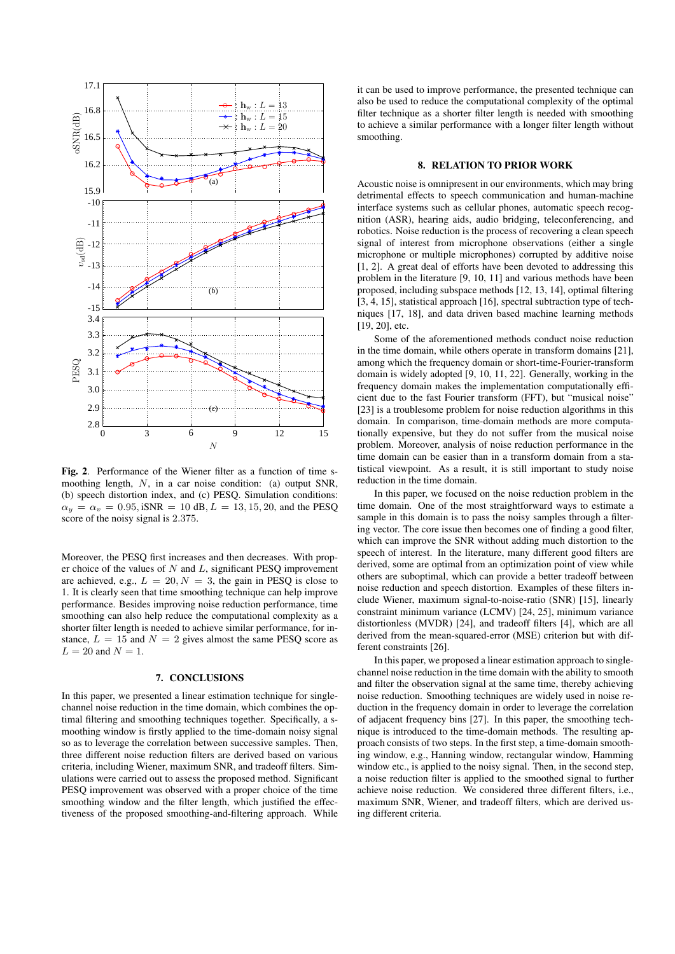

Fig. 2. Performance of the Wiener filter as a function of time smoothing length, *N*, in a car noise condition: (a) output SNR, (b) speech distortion index, and (c) PESQ. Simulation conditions:  $\alpha_y = \alpha_v = 0.95$ , iSNR = 10 dB,  $L = 13, 15, 20$ , and the PESQ score of the noisy signal is 2*.*375.

Moreover, the PESQ first increases and then decreases. With proper choice of the values of *N* and *L*, significant PESQ improvement are achieved, e.g.,  $L = 20, N = 3$ , the gain in PESQ is close to 1. It is clearly seen that time smoothing technique can help improve performance. Besides improving noise reduction performance, time smoothing can also help reduce the computational complexity as a shorter filter length is needed to achieve similar performance, for instance,  $L = 15$  and  $N = 2$  gives almost the same PESO score as  $L = 20$  and  $N = 1$ .

#### 7. CONCLUSIONS

In this paper, we presented a linear estimation technique for singlechannel noise reduction in the time domain, which combines the optimal filtering and smoothing techniques together. Specifically, a smoothing window is firstly applied to the time-domain noisy signal so as to leverage the correlation between successive samples. Then, three different noise reduction filters are derived based on various criteria, including Wiener, maximum SNR, and tradeoff filters. Simulations were carried out to assess the proposed method. Significant PESQ improvement was observed with a proper choice of the time smoothing window and the filter length, which justified the effectiveness of the proposed smoothing-and-filtering approach. While

it can be used to improve performance, the presented technique can also be used to reduce the computational complexity of the optimal filter technique as a shorter filter length is needed with smoothing to achieve a similar performance with a longer filter length without smoothing.

#### 8. RELATION TO PRIOR WORK

Acoustic noise is omnipresent in our environments, which may bring detrimental effects to speech communication and human-machine interface systems such as cellular phones, automatic speech recognition (ASR), hearing aids, audio bridging, teleconferencing, and robotics. Noise reduction is the process of recovering a clean speech signal of interest from microphone observations (either a single microphone or multiple microphones) corrupted by additive noise [1, 2]. A great deal of efforts have been devoted to addressing this problem in the literature [9, 10, 11] and various methods have been proposed, including subspace methods [12, 13, 14], optimal filtering [3, 4, 15], statistical approach [16], spectral subtraction type of techniques [17, 18], and data driven based machine learning methods [19, 20], etc.

Some of the aforementioned methods conduct noise reduction in the time domain, while others operate in transform domains [21], among which the frequency domain or short-time-Fourier-transform domain is widely adopted [9, 10, 11, 22]. Generally, working in the frequency domain makes the implementation computationally efficient due to the fast Fourier transform (FFT), but "musical noise" [23] is a troublesome problem for noise reduction algorithms in this domain. In comparison, time-domain methods are more computationally expensive, but they do not suffer from the musical noise problem. Moreover, analysis of noise reduction performance in the time domain can be easier than in a transform domain from a statistical viewpoint. As a result, it is still important to study noise reduction in the time domain.

In this paper, we focused on the noise reduction problem in the time domain. One of the most straightforward ways to estimate a sample in this domain is to pass the noisy samples through a filtering vector. The core issue then becomes one of finding a good filter, which can improve the SNR without adding much distortion to the speech of interest. In the literature, many different good filters are derived, some are optimal from an optimization point of view while others are suboptimal, which can provide a better tradeoff between noise reduction and speech distortion. Examples of these filters include Wiener, maximum signal-to-noise-ratio (SNR) [15], linearly constraint minimum variance (LCMV) [24, 25], minimum variance distortionless (MVDR) [24], and tradeoff filters [4], which are all derived from the mean-squared-error (MSE) criterion but with different constraints [26].

In this paper, we proposed a linear estimation approach to singlechannel noise reduction in the time domain with the ability to smooth and filter the observation signal at the same time, thereby achieving noise reduction. Smoothing techniques are widely used in noise reduction in the frequency domain in order to leverage the correlation of adjacent frequency bins [27]. In this paper, the smoothing technique is introduced to the time-domain methods. The resulting approach consists of two steps. In the first step, a time-domain smoothing window, e.g., Hanning window, rectangular window, Hamming window etc., is applied to the noisy signal. Then, in the second step, a noise reduction filter is applied to the smoothed signal to further achieve noise reduction. We considered three different filters, i.e., maximum SNR, Wiener, and tradeoff filters, which are derived using different criteria.